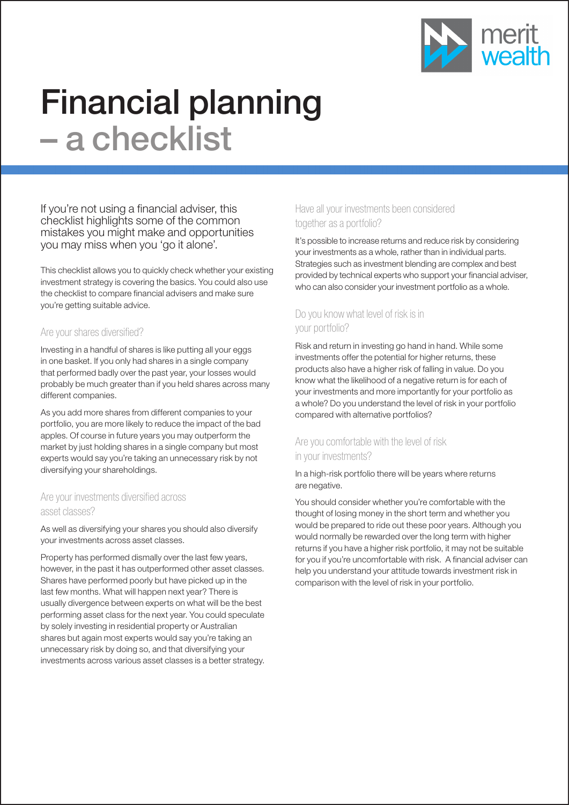

# Financial planning – a checklist

If you're not using a financial adviser, this checklist highlights some of the common mistakes you might make and opportunities you may miss when you 'go it alone'.

This checklist allows you to quickly check whether your existing investment strategy is covering the basics. You could also use the checklist to compare financial advisers and make sure you're getting suitable advice.

#### Are your shares diversified?

Investing in a handful of shares is like putting all your eggs in one basket. If you only had shares in a single company that performed badly over the past year, your losses would probably be much greater than if you held shares across many different companies.

As you add more shares from different companies to your portfolio, you are more likely to reduce the impact of the bad apples. Of course in future years you may outperform the market by just holding shares in a single company but most experts would say you're taking an unnecessary risk by not diversifying your shareholdings.

## Are your investments diversified across asset classes?

As well as diversifying your shares you should also diversify your investments across asset classes.

Property has performed dismally over the last few years, however, in the past it has outperformed other asset classes. Shares have performed poorly but have picked up in the last few months. What will happen next year? There is usually divergence between experts on what will be the best performing asset class for the next year. You could speculate by solely investing in residential property or Australian shares but again most experts would say you're taking an unnecessary risk by doing so, and that diversifying your investments across various asset classes is a better strategy.

## Have all your investments been considered together as a portfolio?

It's possible to increase returns and reduce risk by considering your investments as a whole, rather than in individual parts. Strategies such as investment blending are complex and best provided by technical experts who support your financial adviser, who can also consider your investment portfolio as a whole.

# Do you know what level of risk is in your portfolio?

Risk and return in investing go hand in hand. While some investments offer the potential for higher returns, these products also have a higher risk of falling in value. Do you know what the likelihood of a negative return is for each of your investments and more importantly for your portfolio as a whole? Do you understand the level of risk in your portfolio compared with alternative portfolios?

## Are you comfortable with the level of risk in your investments?

In a high-risk portfolio there will be years where returns are negative.

You should consider whether you're comfortable with the thought of losing money in the short term and whether you would be prepared to ride out these poor years. Although you would normally be rewarded over the long term with higher returns if you have a higher risk portfolio, it may not be suitable for you if you're uncomfortable with risk. A financial adviser can help you understand your attitude towards investment risk in comparison with the level of risk in your portfolio.